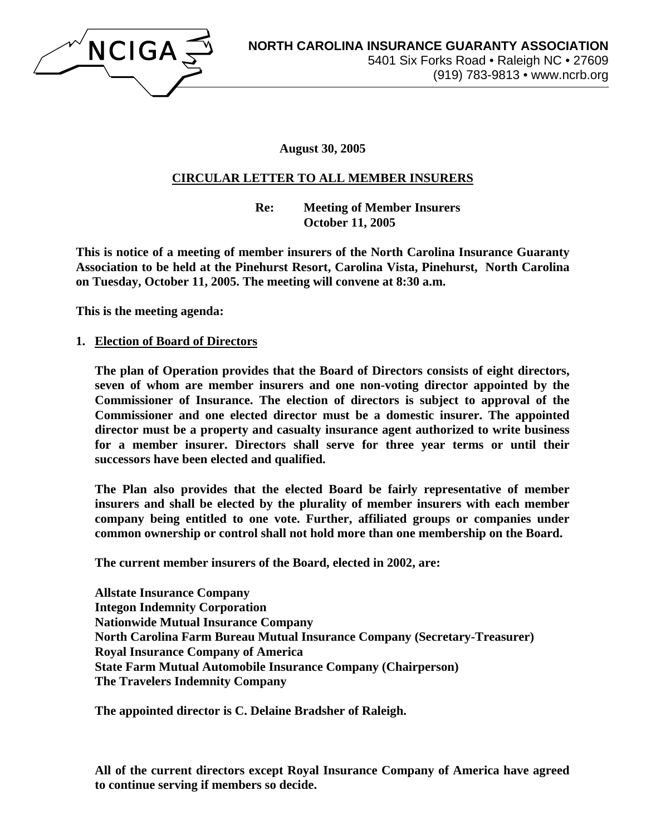

**August 30, 2005** 

## **CIRCULAR LETTER TO ALL MEMBER INSURERS**

 **Re: Meeting of Member Insurers October 11, 2005** 

**This is notice of a meeting of member insurers of the North Carolina Insurance Guaranty Association to be held at the Pinehurst Resort, Carolina Vista, Pinehurst, North Carolina on Tuesday, October 11, 2005. The meeting will convene at 8:30 a.m.** 

**This is the meeting agenda:** 

**1. Election of Board of Directors**

**The plan of Operation provides that the Board of Directors consists of eight directors, seven of whom are member insurers and one non-voting director appointed by the Commissioner of Insurance. The election of directors is subject to approval of the Commissioner and one elected director must be a domestic insurer. The appointed director must be a property and casualty insurance agent authorized to write business for a member insurer. Directors shall serve for three year terms or until their successors have been elected and qualified.** 

**The Plan also provides that the elected Board be fairly representative of member insurers and shall be elected by the plurality of member insurers with each member company being entitled to one vote. Further, affiliated groups or companies under common ownership or control shall not hold more than one membership on the Board.** 

**The current member insurers of the Board, elected in 2002, are:** 

**Allstate Insurance Company Integon Indemnity Corporation Nationwide Mutual Insurance Company North Carolina Farm Bureau Mutual Insurance Company (Secretary-Treasurer) Royal Insurance Company of America State Farm Mutual Automobile Insurance Company (Chairperson) The Travelers Indemnity Company** 

**The appointed director is C. Delaine Bradsher of Raleigh.** 

**All of the current directors except Royal Insurance Company of America have agreed to continue serving if members so decide.**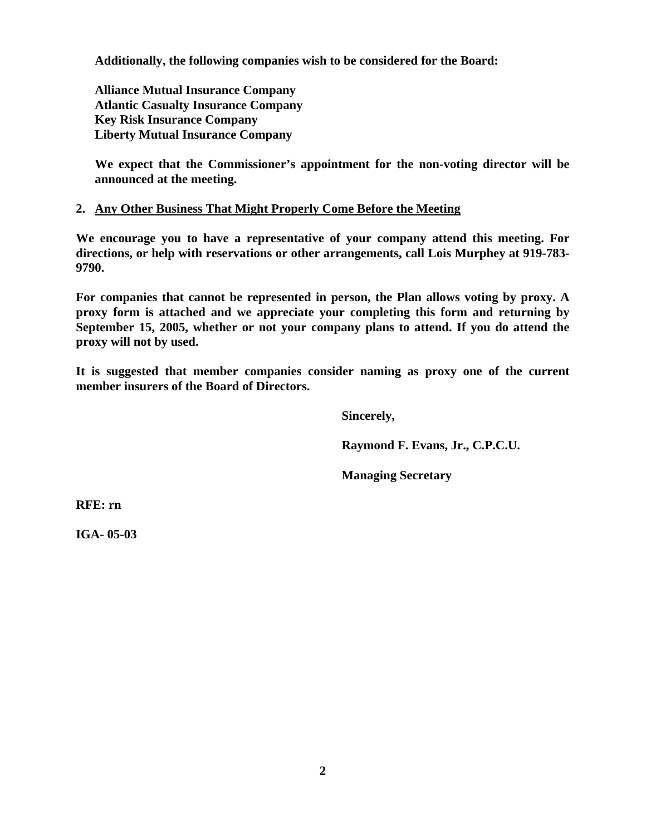**Additionally, the following companies wish to be considered for the Board:** 

**Alliance Mutual Insurance Company Atlantic Casualty Insurance Company Key Risk Insurance Company Liberty Mutual Insurance Company** 

**We expect that the Commissioner's appointment for the non-voting director will be announced at the meeting.** 

### **2. Any Other Business That Might Properly Come Before the Meeting**

**We encourage you to have a representative of your company attend this meeting. For directions, or help with reservations or other arrangements, call Lois Murphey at 919-783- 9790.** 

**For companies that cannot be represented in person, the Plan allows voting by proxy. A proxy form is attached and we appreciate your completing this form and returning by September 15, 2005, whether or not your company plans to attend. If you do attend the proxy will not by used.** 

**It is suggested that member companies consider naming as proxy one of the current member insurers of the Board of Directors.** 

 **Sincerely,** 

 **Raymond F. Evans, Jr., C.P.C.U.** 

 **Managing Secretary** 

**RFE: rn** 

**IGA- 05-03**